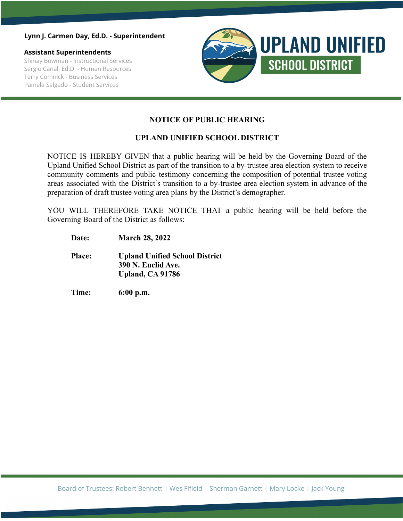### **Lynn J. Carmen Day, Ed.D. - Superintendent**

### **Assistant Superintendents**

Shinay Bowman - Instructional Services Sergio Canal, Ed.D. - Human Resources Terry Comnick - Business Services Pamela Salgado - Student Services



## **NOTICE OF PUBLIC HEARING**

## **UPLAND UNIFIED SCHOOL DISTRICT**

NOTICE IS HEREBY GIVEN that a public hearing will be held by the Governing Board of the Upland Unified School District as part of the transition to a by-trustee area election system to receive community comments and public testimony concerning the composition of potential trustee voting areas associated with the District's transition to a by-trustee area election system in advance of the preparation of draft trustee voting area plans by the District's demographer.

YOU WILL THEREFORE TAKE NOTICE THAT a public hearing will be held before the Governing Board of the District as follows:

- **Date: March 28, 2022**
- **Place: Upland Unified School District 390 N. Euclid Ave. Upland, CA 91786**
- **Time: 6:00 p.m.**